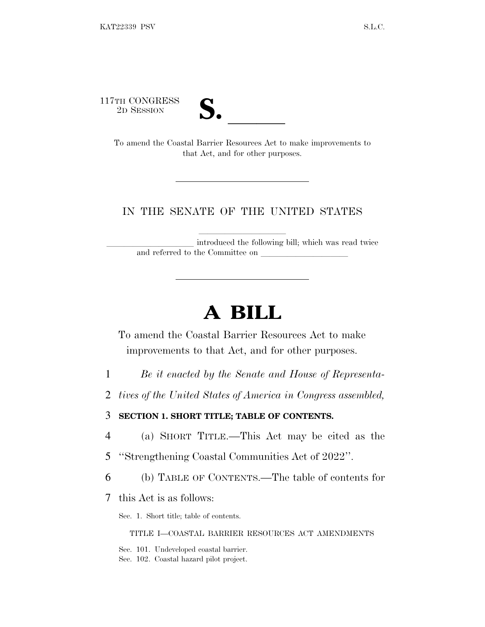117TH CONGRESS



TH CONGRESS<br>
2D SESSION<br>
To amend the Coastal Barrier Resources Act to make improvements to that Act, and for other purposes.

## IN THE SENATE OF THE UNITED STATES

introduced the following bill; which was read twice and referred to the Committee on

# **A BILL**

To amend the Coastal Barrier Resources Act to make improvements to that Act, and for other purposes.

- 1 *Be it enacted by the Senate and House of Representa-*
- 2 *tives of the United States of America in Congress assembled,*

## 3 **SECTION 1. SHORT TITLE; TABLE OF CONTENTS.**

- 4 (a) SHORT TITLE.—This Act may be cited as the
- 5 ''Strengthening Coastal Communities Act of 2022''.
- 6 (b) TABLE OF CONTENTS.—The table of contents for
- 7 this Act is as follows:

Sec. 1. Short title; table of contents.

TITLE I—COASTAL BARRIER RESOURCES ACT AMENDMENTS

Sec. 101. Undeveloped coastal barrier. Sec. 102. Coastal hazard pilot project.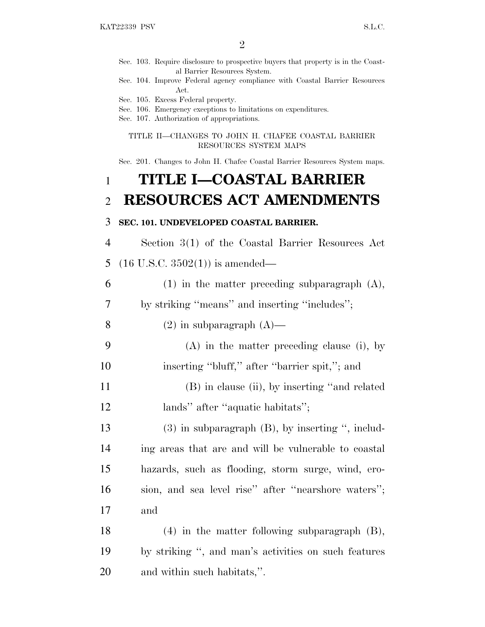- Sec. 103. Require disclosure to prospective buyers that property is in the Coastal Barrier Resources System.
- Sec. 104. Improve Federal agency compliance with Coastal Barrier Resources Act.
- Sec. 105. Excess Federal property.
- Sec. 106. Emergency exceptions to limitations on expenditures.
- Sec. 107. Authorization of appropriations.

TITLE II—CHANGES TO JOHN H. CHAFEE COASTAL BARRIER RESOURCES SYSTEM MAPS

Sec. 201. Changes to John H. Chafee Coastal Barrier Resources System maps.

# 1 **TITLE I—COASTAL BARRIER** 2 **RESOURCES ACT AMENDMENTS**

#### 3 **SEC. 101. UNDEVELOPED COASTAL BARRIER.**

4 Section 3(1) of the Coastal Barrier Resources Act 5 (16 U.S.C. 3502(1)) is amended—

 (1) in the matter preceding subparagraph (A), by striking ''means'' and inserting ''includes''; 8 (2) in subparagraph  $(A)$ — (A) in the matter preceding clause (i), by inserting ''bluff,'' after ''barrier spit,''; and (B) in clause (ii), by inserting ''and related 12 lands" after "aquatic habitats"; (3) in subparagraph (B), by inserting '', includ- ing areas that are and will be vulnerable to coastal hazards, such as flooding, storm surge, wind, ero- sion, and sea level rise'' after ''nearshore waters''; 17 and

18 (4) in the matter following subparagraph (B), 19 by striking '', and man's activities on such features 20 and within such habitats,''.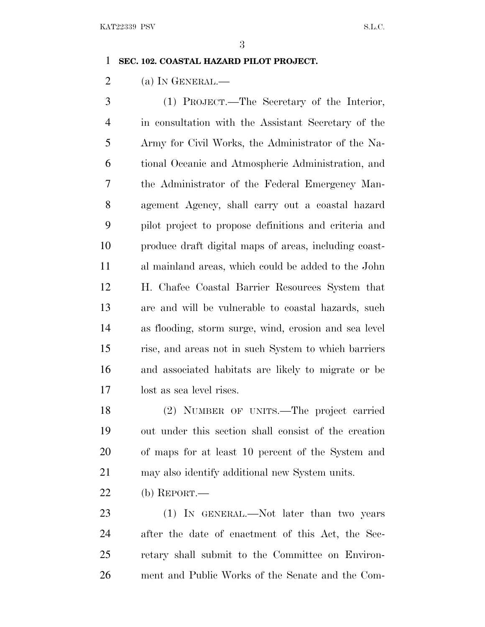### **SEC. 102. COASTAL HAZARD PILOT PROJECT.**

2 (a) In GENERAL.—

 (1) PROJECT.—The Secretary of the Interior, in consultation with the Assistant Secretary of the Army for Civil Works, the Administrator of the Na- tional Oceanic and Atmospheric Administration, and the Administrator of the Federal Emergency Man- agement Agency, shall carry out a coastal hazard pilot project to propose definitions and criteria and produce draft digital maps of areas, including coast- al mainland areas, which could be added to the John H. Chafee Coastal Barrier Resources System that are and will be vulnerable to coastal hazards, such as flooding, storm surge, wind, erosion and sea level rise, and areas not in such System to which barriers and associated habitats are likely to migrate or be lost as sea level rises.

 (2) NUMBER OF UNITS.—The project carried out under this section shall consist of the creation of maps for at least 10 percent of the System and may also identify additional new System units.

(b) REPORT.—

23 (1) IN GENERAL.—Not later than two years after the date of enactment of this Act, the Sec- retary shall submit to the Committee on Environ-ment and Public Works of the Senate and the Com-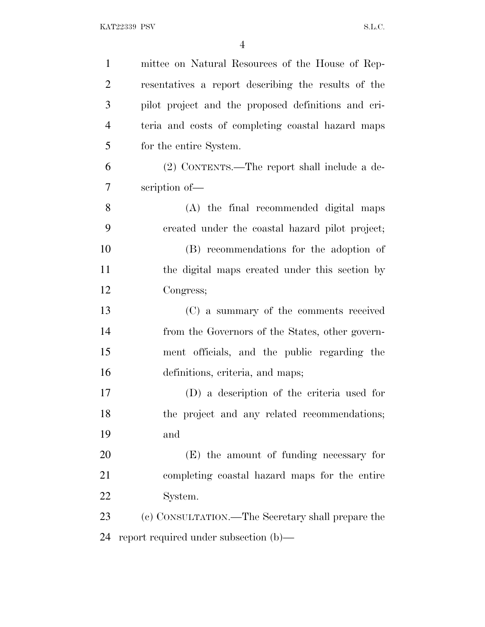| $\mathbf{1}$   | mittee on Natural Resources of the House of Rep-    |
|----------------|-----------------------------------------------------|
| $\overline{2}$ | resentatives a report describing the results of the |
| 3              | pilot project and the proposed definitions and cri- |
| $\overline{4}$ | teria and costs of completing coastal hazard maps   |
| 5              | for the entire System.                              |
| 6              | (2) CONTENTS.—The report shall include a de-        |
| 7              | scription of-                                       |
| 8              | (A) the final recommended digital maps              |
| 9              | created under the coastal hazard pilot project;     |
| 10             | (B) recommendations for the adoption of             |
| 11             | the digital maps created under this section by      |
| 12             | Congress;                                           |
| 13             | (C) a summary of the comments received              |
| 14             | from the Governors of the States, other govern-     |
| 15             | ment officials, and the public regarding the        |
| 16             | definitions, criteria, and maps;                    |
| 17             | (D) a description of the criteria used for          |
| 18             | the project and any related recommendations;        |
| 19             | and                                                 |
| 20             | (E) the amount of funding necessary for             |
| 21             | completing coastal hazard maps for the entire       |
| 22             | System.                                             |
| 23             | (c) CONSULTATION.—The Secretary shall prepare the   |
| 24             | report required under subsection (b)—               |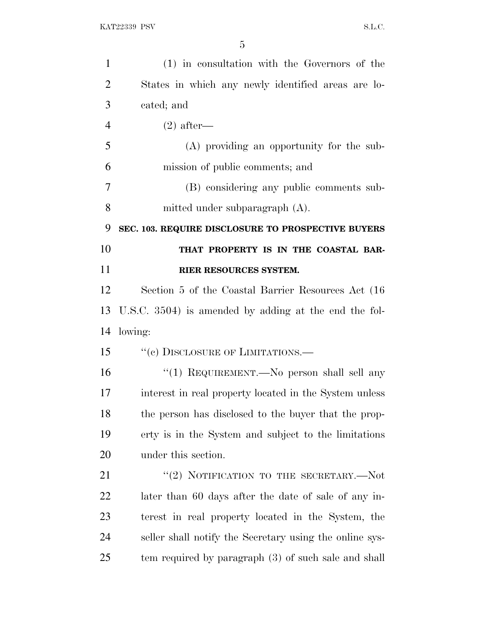| $\mathbf{1}$   | (1) in consultation with the Governors of the            |
|----------------|----------------------------------------------------------|
| $\overline{2}$ | States in which any newly identified areas are lo-       |
| 3              | cated; and                                               |
| $\overline{4}$ | $(2)$ after—                                             |
| 5              | (A) providing an opportunity for the sub-                |
| 6              | mission of public comments; and                          |
| 7              | (B) considering any public comments sub-                 |
| 8              | mitted under subparagraph (A).                           |
| 9              | SEC. 103. REQUIRE DISCLOSURE TO PROSPECTIVE BUYERS       |
| 10             | THAT PROPERTY IS IN THE COASTAL BAR-                     |
| 11             | RIER RESOURCES SYSTEM.                                   |
| 12             | Section 5 of the Coastal Barrier Resources Act (16)      |
| 13             | U.S.C. $3504$ ) is amended by adding at the end the fol- |
| 14             | lowing:                                                  |
| 15             | $``$ (c) DISCLOSURE OF LIMITATIONS.—                     |
| 16             | "(1) REQUIREMENT.—No person shall sell any               |
| 17             | interest in real property located in the System unless   |
| 18             | the person has disclosed to the buyer that the prop-     |
| 19             | erty is in the System and subject to the limitations     |
| 20             | under this section.                                      |
| 21             | "(2) NOTIFICATION TO THE SECRETARY.— $Not$               |
| 22             | later than 60 days after the date of sale of any in-     |
| 23             | terest in real property located in the System, the       |
| 24             | seller shall notify the Secretary using the online sys-  |
| 25             | tem required by paragraph (3) of such sale and shall     |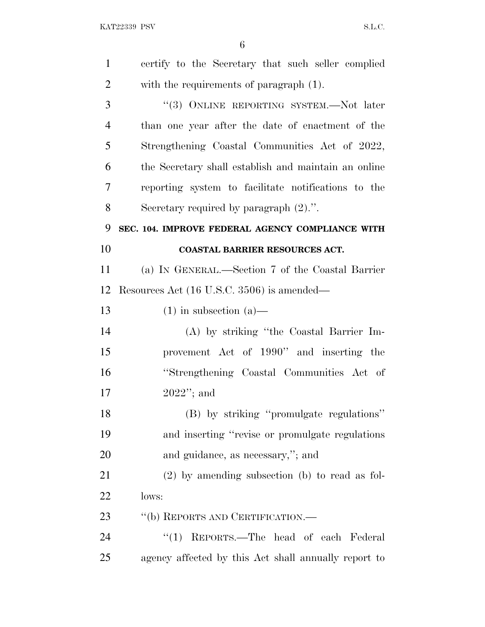KAT22339 PSV S.L.C.

| $\mathbf{1}$   | certify to the Secretary that such seller complied   |
|----------------|------------------------------------------------------|
| $\overline{2}$ | with the requirements of paragraph (1).              |
| 3              | "(3) ONLINE REPORTING SYSTEM.—Not later              |
| $\overline{4}$ | than one year after the date of enactment of the     |
| 5              | Strengthening Coastal Communities Act of 2022,       |
| 6              | the Secretary shall establish and maintain an online |
| 7              | reporting system to facilitate notifications to the  |
| 8              | Secretary required by paragraph $(2)$ .".            |
| 9              | SEC. 104. IMPROVE FEDERAL AGENCY COMPLIANCE WITH     |
| 10             | <b>COASTAL BARRIER RESOURCES ACT.</b>                |
| 11             | (a) IN GENERAL.—Section 7 of the Coastal Barrier     |
| 12             | Resources Act (16 U.S.C. 3506) is amended—           |
| 13             | $(1)$ in subsection $(a)$ —                          |
| 14             | (A) by striking "the Coastal Barrier Im-             |
| 15             | provement Act of 1990" and inserting the             |
| 16             | "Strengthening Coastal Communities Act of            |
| 17             | $2022$ "; and                                        |
| 18             | (B) by striking "promulgate regulations"             |
| 19             | and inserting "revise or promulgate regulations"     |
| 20             | and guidance, as necessary,"; and                    |
| 21             | $(2)$ by amending subsection (b) to read as fol-     |
| 22             | lows:                                                |
| 23             | "(b) REPORTS AND CERTIFICATION.—                     |
| 24             | "(1) REPORTS.—The head of each Federal               |
| 25             | agency affected by this Act shall annually report to |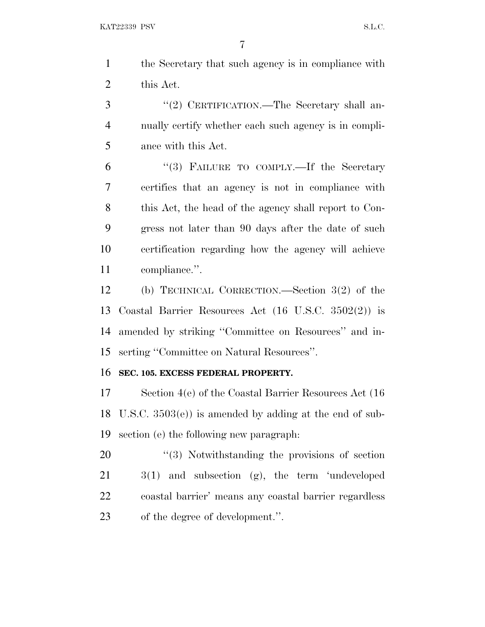| the Secretary that such agency is in compliance with |
|------------------------------------------------------|
| this Act.                                            |

3 "(2) CERTIFICATION.—The Secretary shall an- nually certify whether each such agency is in compli-ance with this Act.

6 "(3) FAILURE TO COMPLY.—If the Secretary certifies that an agency is not in compliance with this Act, the head of the agency shall report to Con- gress not later than 90 days after the date of such certification regarding how the agency will achieve compliance.''.

 (b) TECHNICAL CORRECTION.—Section 3(2) of the Coastal Barrier Resources Act (16 U.S.C. 3502(2)) is amended by striking ''Committee on Resources'' and in-serting ''Committee on Natural Resources''.

#### **SEC. 105. EXCESS FEDERAL PROPERTY.**

 Section 4(e) of the Coastal Barrier Resources Act (16 U.S.C. 3503(e)) is amended by adding at the end of sub-section (e) the following new paragraph:

 $\frac{1}{20}$  Notwithstanding the provisions of section 3(1) and subsection (g), the term 'undeveloped coastal barrier' means any coastal barrier regardless of the degree of development.''.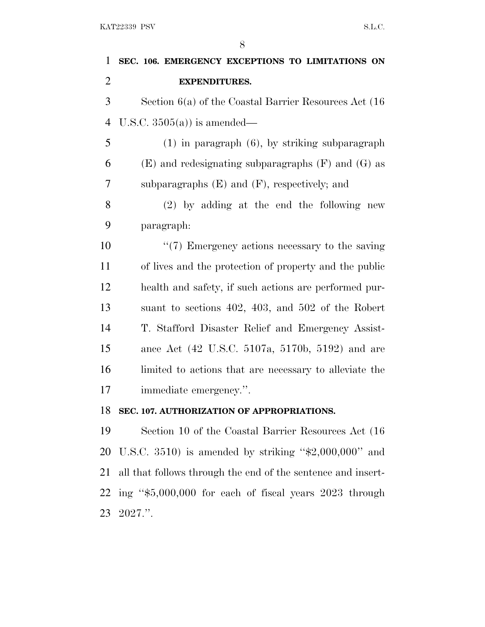| SEC. 106. EMERGENCY EXCEPTIONS TO LIMITATIONS ON          |
|-----------------------------------------------------------|
| <b>EXPENDITURES.</b>                                      |
| Section $6(a)$ of the Coastal Barrier Resources Act (16)  |
| U.S.C. $3505(a)$ is amended—                              |
| $(1)$ in paragraph $(6)$ , by striking subparagraph       |
| $(E)$ and redesignating subparagraphs $(F)$ and $(G)$ as  |
| subparagraphs $(E)$ and $(F)$ , respectively; and         |
| $(2)$ by adding at the end the following new              |
| paragraph:                                                |
| $\lq(7)$ Emergency actions necessary to the saving        |
| of lives and the protection of property and the public    |
| health and safety, if such actions are performed pur-     |
| suant to sections $402$ , $403$ , and $502$ of the Robert |
| T. Stafford Disaster Relief and Emergency Assist-         |
| ance Act (42 U.S.C. 5107a, 5170b, 5192) and are           |
| limited to actions that are necessary to alleviate the    |
| immediate emergency.".                                    |
| SEC. 107. AUTHORIZATION OF APPROPRIATIONS.                |
| Section 10 of the Coastal Barrier Resources Act (16)      |
|                                                           |

 U.S.C. 3510) is amended by striking ''\$2,000,000'' and all that follows through the end of the sentence and insert- ing ''\$5,000,000 for each of fiscal years 2023 through 2027.''.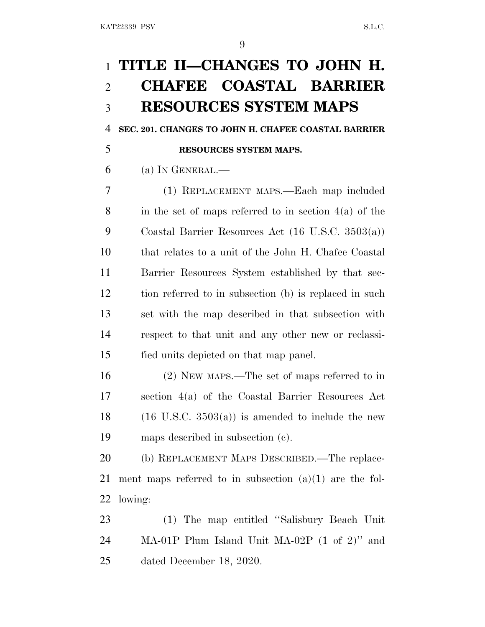# **TITLE II—CHANGES TO JOHN H. CHAFEE COASTAL BARRIER RESOURCES SYSTEM MAPS**

**SEC. 201. CHANGES TO JOHN H. CHAFEE COASTAL BARRIER**

# **RESOURCES SYSTEM MAPS.**

(a) In GENERAL.—

 (1) REPLACEMENT MAPS.—Each map included 8 in the set of maps referred to in section  $4(a)$  of the Coastal Barrier Resources Act (16 U.S.C. 3503(a)) that relates to a unit of the John H. Chafee Coastal Barrier Resources System established by that sec- tion referred to in subsection (b) is replaced in such set with the map described in that subsection with respect to that unit and any other new or reclassi-fied units depicted on that map panel.

 (2) NEW MAPS.—The set of maps referred to in section 4(a) of the Coastal Barrier Resources Act 18 (16 U.S.C.  $3503(a)$ ) is amended to include the new maps described in subsection (c).

 (b) REPLACEMENT MAPS DESCRIBED.—The replace- ment maps referred to in subsection (a)(1) are the fol-lowing:

 (1) The map entitled ''Salisbury Beach Unit MA-01P Plum Island Unit MA-02P (1 of 2)'' and dated December 18, 2020.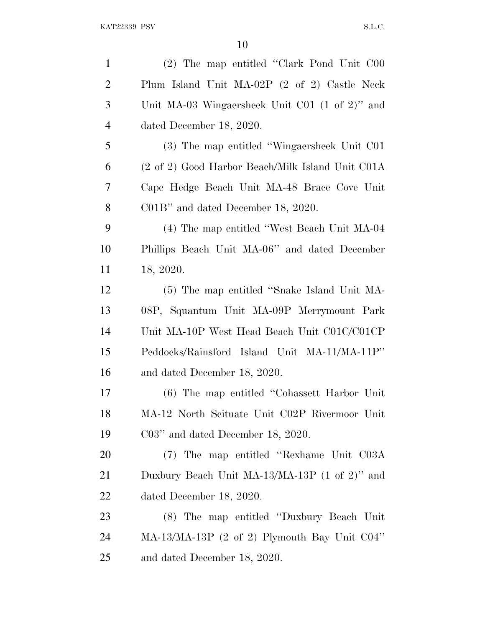| $\mathbf{1}$   | (2) The map entitled "Clark Pond Unit C00                  |
|----------------|------------------------------------------------------------|
| $\overline{2}$ | Plum Island Unit MA-02P (2 of 2) Castle Neck               |
| 3              | Unit MA-03 Wingaersheek Unit C01 $(1 \text{ of } 2)$ " and |
| $\overline{4}$ | dated December 18, 2020.                                   |
| 5              | (3) The map entitled "Wingaersheek Unit C01                |
| 6              | (2 of 2) Good Harbor Beach/Milk Island Unit C01A           |
| 7              | Cape Hedge Beach Unit MA-48 Brace Cove Unit                |
| 8              | $CO1B$ " and dated December 18, 2020.                      |
| 9              | (4) The map entitled "West Beach Unit MA-04                |
| 10             | Phillips Beach Unit MA-06" and dated December              |
| 11             | 18, 2020.                                                  |
| 12             | (5) The map entitled "Snake Island Unit MA-                |
| 13             | 08P, Squantum Unit MA-09P Merrymount Park                  |
| 14             | Unit MA-10P West Head Beach Unit C01C/C01CP                |
| 15             | Peddocks/Rainsford Island Unit MA-11/MA-11P"               |
| 16             | and dated December 18, 2020.                               |
| 17             | (6) The map entitled "Cohassett Harbor Unit"               |
| 18             | MA-12 North Scituate Unit C02P Rivermoor Unit              |
| 19             | $C03$ " and dated December 18, 2020.                       |
| 20             | (7) The map entitled "Rexhame Unit C03A                    |
| 21             | Duxbury Beach Unit MA-13/MA-13P (1 of 2)" and              |
| 22             | dated December 18, 2020.                                   |
| 23             | (8) The map entitled "Duxbury Beach Unit"                  |
| 24             | $MA-13/MA-13P$ (2 of 2) Plymouth Bay Unit $CO4"$           |
| 25             | and dated December 18, 2020.                               |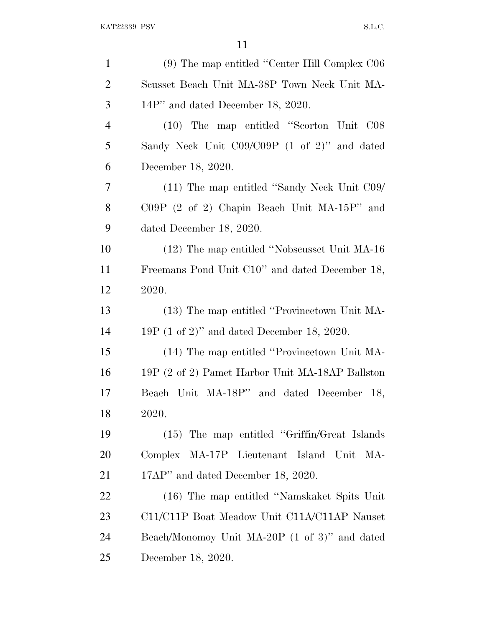| $\mathbf{1}$   | (9) The map entitled "Center Hill Complex C06   |
|----------------|-------------------------------------------------|
| $\overline{2}$ | Scusset Beach Unit MA-38P Town Neck Unit MA-    |
| 3              | 14P" and dated December 18, 2020.               |
| $\overline{4}$ | (10) The map entitled "Scorton Unit C08         |
| 5              | Sandy Neck Unit C09/C09P (1 of 2)" and dated    |
| 6              | December 18, 2020.                              |
| 7              | (11) The map entitled "Sandy Neck Unit C09/     |
| 8              | $C09P$ (2 of 2) Chapin Beach Unit MA-15P" and   |
| 9              | dated December 18, 2020.                        |
| 10             | (12) The map entitled "Nobscusset Unit MA-16    |
| 11             | Freemans Pond Unit C10" and dated December 18,  |
| 12             | 2020.                                           |
| 13             | (13) The map entitled "Provincetown Unit MA-    |
| 14             | $19P (1 of 2)$ " and dated December 18, 2020.   |
| 15             | (14) The map entitled "Provincetown Unit MA-    |
| 16             | 19P (2 of 2) Pamet Harbor Unit MA-18AP Ballston |
| 17             | Beach Unit MA-18P" and dated December 18,       |
| 18             | 2020.                                           |
| 19             | (15) The map entitled "Griffin/Great Islands"   |
| 20             | Complex MA-17P Lieutenant Island Unit<br>MA-    |
| 21             | 17AP" and dated December 18, 2020.              |
| 22             | (16) The map entitled "Namskaket Spits Unit"    |
| 23             | C11/C11P Boat Meadow Unit C11A/C11AP Nauset     |
| 24             | Beach/Monomoy Unit MA-20P (1 of 3)" and dated   |
| 25             | December 18, 2020.                              |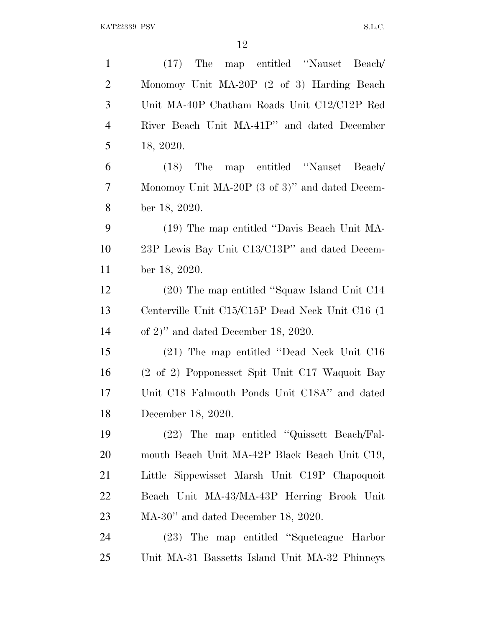| $\mathbf{1}$   | (17) The map entitled "Nauset Beach/             |
|----------------|--------------------------------------------------|
| $\overline{2}$ | Monomoy Unit MA-20P (2 of 3) Harding Beach       |
| 3              | Unit MA-40P Chatham Roads Unit C12/C12P Red      |
| $\overline{4}$ | River Beach Unit MA-41P" and dated December      |
| 5              | 18, 2020.                                        |
| 6              | The<br>map entitled "Nauset<br>Beach/<br>(18)    |
| 7              | Monomoy Unit MA-20P (3 of 3)" and dated Decem-   |
| 8              | ber 18, 2020.                                    |
| 9              | (19) The map entitled "Davis Beach Unit MA-      |
| 10             | 23P Lewis Bay Unit C13/C13P" and dated Decem-    |
| 11             | ber 18, 2020.                                    |
| 12             | (20) The map entitled "Squaw Island Unit C14     |
| 13             | Centerville Unit C15/C15P Dead Neck Unit C16 (1) |
| 14             | of 2)" and dated December 18, 2020.              |
| 15             | (21) The map entitled "Dead Neck Unit C16        |
| 16             | (2 of 2) Popponesset Spit Unit C17 Waquoit Bay   |
| 17             | Unit C18 Falmouth Ponds Unit C18A" and dated     |
| 18             | December 18, 2020.                               |
| 19             | (22) The map entitled "Quissett Beach/Fal-       |
| 20             | mouth Beach Unit MA-42P Black Beach Unit C19,    |
| 21             | Little Sippewisset Marsh Unit C19P Chapoquoit    |
| 22             | Beach Unit MA-43/MA-43P Herring Brook Unit       |
| 23             | $MA-30$ " and dated December 18, 2020.           |
| 24             | (23) The map entitled "Squeteague Harbor         |
| 25             | Unit MA-31 Bassetts Island Unit MA-32 Phinneys   |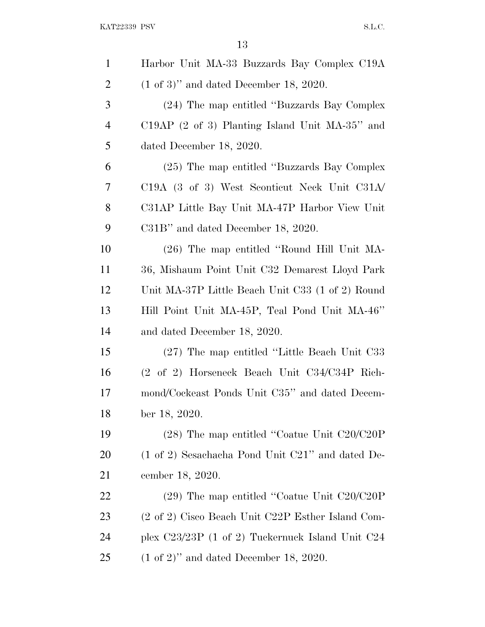$\begin{minipage}{0.9\linewidth} \textbf{KAT} 22339 \textbf{ PSV} \end{minipage}$ 

| $\mathbf{1}$   | Harbor Unit MA-33 Buzzards Bay Complex C19A                 |
|----------------|-------------------------------------------------------------|
| $\overline{2}$ | $(1 \text{ of } 3)$ " and dated December 18, 2020.          |
| 3              | (24) The map entitled "Buzzards Bay Complex"                |
| 4              | $C19AP$ (2 of 3) Planting Island Unit MA-35" and            |
| 5              | dated December 18, 2020.                                    |
| 6              | (25) The map entitled "Buzzards Bay Complex"                |
| 7              | C19A (3 of 3) West Sconticut Neck Unit C31A                 |
| 8              | C31AP Little Bay Unit MA-47P Harbor View Unit               |
| 9              | C31B" and dated December 18, 2020.                          |
| 10             | (26) The map entitled "Round Hill Unit MA-                  |
| 11             | 36, Mishaum Point Unit C32 Demarest Lloyd Park              |
| 12             | Unit MA-37P Little Beach Unit C33 (1 of 2) Round            |
| 13             | Hill Point Unit MA-45P, Teal Pond Unit MA-46"               |
| 14             | and dated December 18, 2020.                                |
| 15             | (27) The map entitled "Little Beach Unit C33                |
| 16             | (2 of 2) Horseneck Beach Unit C34/C34P Rich-                |
| 17             | mond/Cockeast Ponds Unit C35" and dated Decem-              |
| 18             | ber 18, 2020.                                               |
| 19             | $(28)$ The map entitled "Coatue Unit C20/C20P               |
| 20             | $(1 \text{ of } 2)$ Sesachacha Pond Unit C21" and dated De- |
| 21             | cember 18, 2020.                                            |
| 22             | $(29)$ The map entitled "Coatue Unit C20/C20P               |
| 23             | (2 of 2) Cisco Beach Unit C22P Esther Island Com-           |
| 24             | plex $C23/23P$ (1 of 2) Tuckernuck Island Unit $C24$        |
| 25             | $(1 \text{ of } 2)$ " and dated December 18, 2020.          |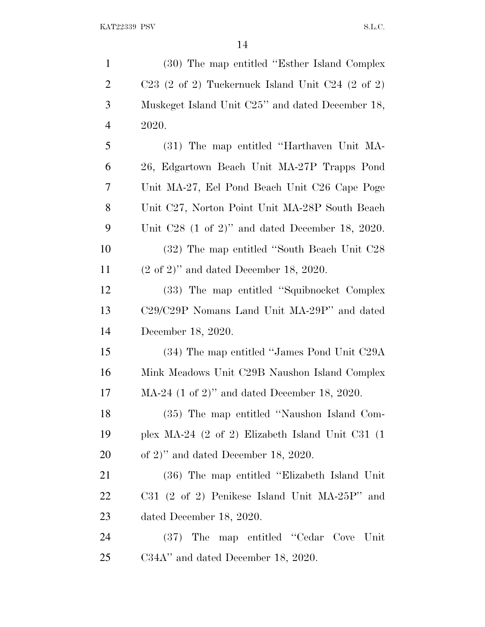| $\mathbf{1}$   | (30) The map entitled "Esther Island Complex"                         |
|----------------|-----------------------------------------------------------------------|
| $\overline{2}$ | $C23$ (2 of 2) Tuckernuck Island Unit $C24$ (2 of 2)                  |
| 3              | Muskeget Island Unit C25" and dated December 18,                      |
| $\overline{4}$ | 2020.                                                                 |
| 5              | (31) The map entitled "Harthaven Unit MA-                             |
| 6              | 26, Edgartown Beach Unit MA-27P Trapps Pond                           |
| 7              | Unit MA-27, Eel Pond Beach Unit C26 Cape Poge                         |
| 8              | Unit C27, Norton Point Unit MA-28P South Beach                        |
| 9              | Unit $C28$ (1 of 2)" and dated December 18, 2020.                     |
| 10             | (32) The map entitled "South Beach Unit C28                           |
| 11             | $(2 \text{ of } 2)$ " and dated December 18, 2020.                    |
| 12             | (33) The map entitled "Squibnocket Complex"                           |
| 13             | C <sub>29</sub> /C <sub>29</sub> P Nomans Land Unit MA-29P" and dated |
| 14             | December 18, 2020.                                                    |
| 15             | (34) The map entitled "James Pond Unit C29A                           |
| 16             | Mink Meadows Unit C29B Naushon Island Complex                         |
| 17             | $MA-24$ (1 of 2)" and dated December 18, 2020.                        |
| 18             | (35) The map entitled "Naushon Island Com-                            |
| 19             | plex MA-24 $(2 \text{ of } 2)$ Elizabeth Island Unit C31 $(1$         |
| 20             | of 2)" and dated December 18, 2020.                                   |
| 21             | (36) The map entitled "Elizabeth Island Unit"                         |
| 22             | $C31$ (2 of 2) Penikese Island Unit MA-25P" and                       |
| 23             | dated December 18, 2020.                                              |
| 24             | (37) The map entitled "Cedar Cove Unit"                               |
| 25             | $C34A''$ and dated December 18, 2020.                                 |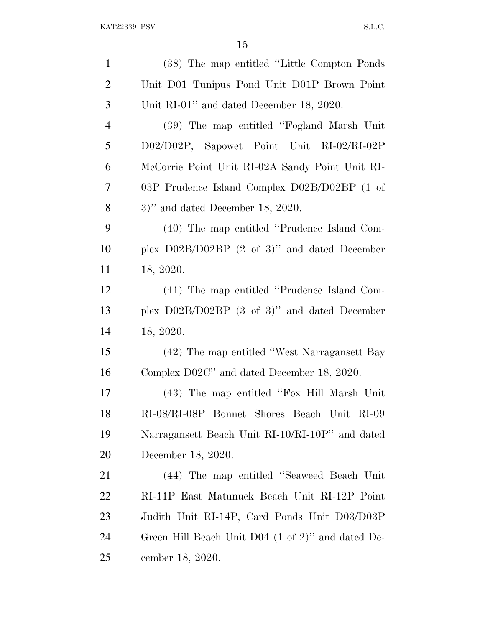| $\mathbf{1}$   | (38) The map entitled "Little Compton Ponds"      |
|----------------|---------------------------------------------------|
| $\overline{2}$ | Unit D01 Tunipus Pond Unit D01P Brown Point       |
| 3              | Unit RI-01" and dated December 18, 2020.          |
| $\overline{4}$ | (39) The map entitled "Fogland Marsh Unit"        |
| 5              | D02/D02P, Sapowet Point Unit RI-02/RI-02P         |
| 6              | McCorrie Point Unit RI-02A Sandy Point Unit RI-   |
| 7              | 03P Prudence Island Complex D02B/D02BP (1 of      |
| 8              | $3)$ " and dated December 18, 2020.               |
| 9              | (40) The map entitled "Prudence Island Com-       |
| 10             | plex $D02B/D02BP$ (2 of 3)" and dated December    |
| 11             | 18, 2020.                                         |
| 12             | (41) The map entitled "Prudence Island Com-       |
| 13             | plex $D02B/D02BP$ (3 of 3)" and dated December    |
| 14             | 18, 2020.                                         |
| 15             | (42) The map entitled "West Narragansett Bay      |
| 16             | Complex D02C" and dated December 18, 2020.        |
| 17             | (43) The map entitled "Fox Hill Marsh Unit        |
| 18             | RI-08/RI-08P Bonnet Shores Beach Unit RI-09       |
| 19             | Narragansett Beach Unit RI-10/RI-10P" and dated   |
| 20             | December 18, 2020.                                |
| 21             | (44) The map entitled "Seaweed Beach Unit"        |
| 22             | RI-11P East Matunuck Beach Unit RI-12P Point      |
| 23             | Judith Unit RI-14P, Card Ponds Unit D03/D03P      |
| 24             | Green Hill Beach Unit D04 (1 of 2)" and dated De- |
| 25             | cember 18, 2020.                                  |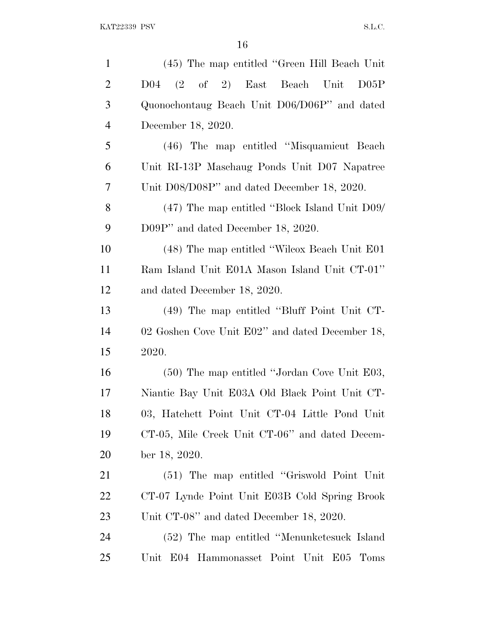| $\mathbf{1}$   | (45) The map entitled "Green Hill Beach Unit"   |
|----------------|-------------------------------------------------|
| $\overline{2}$ | D04 (2 of 2) East Beach Unit D05P               |
| 3              | Quonochontaug Beach Unit D06/D06P" and dated    |
| $\overline{4}$ | December 18, 2020.                              |
| 5              | (46) The map entitled "Misquamicut Beach"       |
| 6              | Unit RI-13P Maschaug Ponds Unit D07 Napatree    |
| 7              | Unit D08/D08P" and dated December 18, 2020.     |
| 8              | (47) The map entitled "Block Island Unit D09/   |
| 9              | D09P" and dated December 18, 2020.              |
| 10             | (48) The map entitled "Wilcox Beach Unit E01    |
| 11             | Ram Island Unit E01A Mason Island Unit CT-01"   |
| 12             | and dated December 18, 2020.                    |
| 13             | (49) The map entitled "Bluff Point Unit CT-     |
| 14             | 02 Goshen Cove Unit E02" and dated December 18, |
| 15             | 2020.                                           |
| 16             | (50) The map entitled "Jordan Cove Unit E03,    |
| 17             | Niantic Bay Unit E03A Old Black Point Unit CT-  |
| 18             | 03, Hatchett Point Unit CT-04 Little Pond Unit  |
| 19             | CT-05, Mile Creek Unit CT-06" and dated Decem-  |
| 20             | ber 18, 2020.                                   |
| 21             | (51) The map entitled "Griswold Point Unit"     |
| 22             | CT-07 Lynde Point Unit E03B Cold Spring Brook   |
| 23             | Unit CT-08" and dated December 18, 2020.        |
| 24             | (52) The map entitled "Menunketesuck Island     |
| 25             | Unit E04 Hammonasset Point Unit E05<br>Toms     |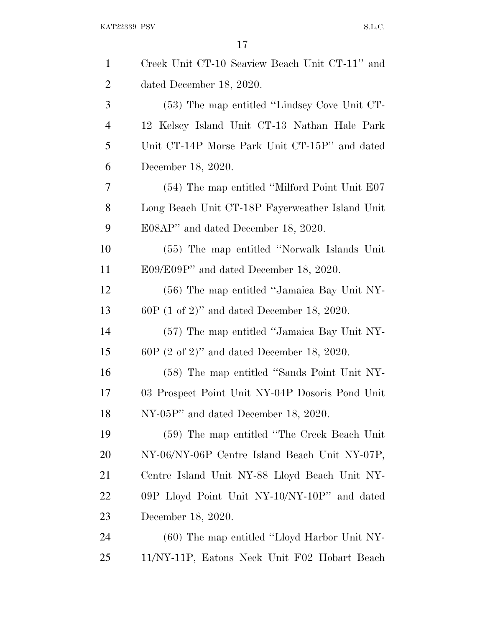| $\mathbf{1}$   | Creek Unit CT-10 Seaview Beach Unit CT-11" and  |
|----------------|-------------------------------------------------|
| $\overline{2}$ | dated December 18, 2020.                        |
| 3              | (53) The map entitled "Lindsey Cove Unit CT-    |
| $\overline{4}$ | 12 Kelsey Island Unit CT-13 Nathan Hale Park    |
| 5              | Unit CT-14P Morse Park Unit CT-15P" and dated   |
| 6              | December 18, 2020.                              |
| 7              | (54) The map entitled "Milford Point Unit E07   |
| 8              | Long Beach Unit CT-18P Fayerweather Island Unit |
| 9              | E08AP" and dated December 18, 2020.             |
| 10             | (55) The map entitled "Norwalk Islands Unit"    |
| 11             | $E09/E09P'$ and dated December 18, 2020.        |
| 12             | (56) The map entitled "Jamaica Bay Unit NY-     |
| 13             | $60P$ (1 of 2)" and dated December 18, 2020.    |
| 14             | (57) The map entitled "Jamaica Bay Unit NY-     |
| 15             | $60P$ (2 of 2)" and dated December 18, 2020.    |
| 16             | (58) The map entitled "Sands Point Unit NY-     |
| 17             | 03 Prospect Point Unit NY-04P Dosoris Pond Unit |
| 18             | NY-05P" and dated December 18, 2020.            |
| 19             | (59) The map entitled "The Creek Beach Unit"    |
| 20             | NY-06/NY-06P Centre Island Beach Unit NY-07P,   |
| 21             | Centre Island Unit NY-88 Lloyd Beach Unit NY-   |
| 22             | 09P Lloyd Point Unit NY-10/NY-10P" and dated    |
| 23             | December 18, 2020.                              |
| 24             | (60) The map entitled "Lloyd Harbor Unit NY-    |
| 25             | 11/NY-11P, Eatons Neck Unit F02 Hobart Beach    |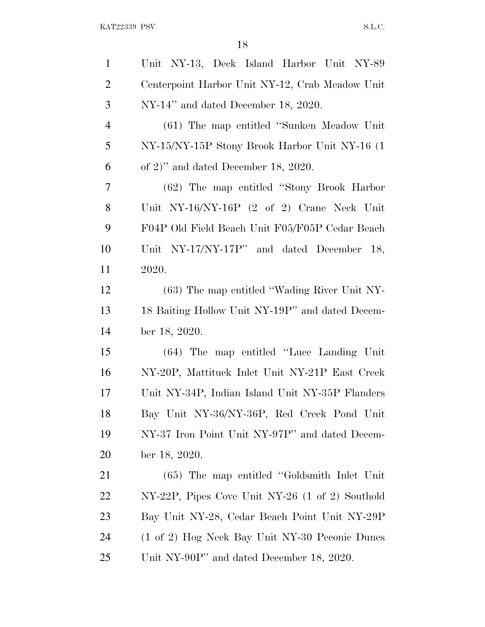| $\mathbf{1}$   | Unit NY-13, Deck Island Harbor Unit NY-89       |
|----------------|-------------------------------------------------|
| $\overline{2}$ | Centerpoint Harbor Unit NY-12, Crab Meadow Unit |
| 3              | NY-14" and dated December 18, 2020.             |
| $\overline{4}$ | (61) The map entitled "Sunken Meadow Unit"      |
| 5              | NY-15/NY-15P Stony Brook Harbor Unit NY-16 (1)  |
| 6              | of 2)" and dated December 18, 2020.             |
| 7              | (62) The map entitled "Stony Brook Harbor"      |
| 8              | Unit NY-16/NY-16P (2 of 2) Crane Neck Unit      |
| 9              | F04P Old Field Beach Unit F05/F05P Cedar Beach  |
| 10             | Unit NY-17/NY-17P" and dated December 18,       |
| 11             | 2020.                                           |
| 12             | (63) The map entitled "Wading River Unit NY-    |
| 13             | 18 Baiting Hollow Unit NY-19P" and dated Decem- |
| 14             | ber 18, 2020.                                   |
| 15             | (64) The map entitled "Luce Landing Unit"       |
| 16             | NY-20P, Mattituck Inlet Unit NY-21P East Creek  |
| 17             | Unit NY-34P, Indian Island Unit NY-35P Flanders |
| 18             | Bay Unit NY-36/NY-36P, Red Creek Pond Unit      |
| 19             | NY-37 Iron Point Unit NY-97P" and dated Decem-  |
| 20             | ber 18, 2020.                                   |
| 21             | (65) The map entitled "Goldsmith Inlet Unit"    |
| 22             | NY-22P, Pipes Cove Unit NY-26 (1 of 2) Southold |
| 23             | Bay Unit NY-28, Cedar Beach Point Unit NY-29P   |
| 24             | (1 of 2) Hog Neck Bay Unit NY-30 Peconic Dunes  |
| 25             | Unit NY-90P" and dated December 18, 2020.       |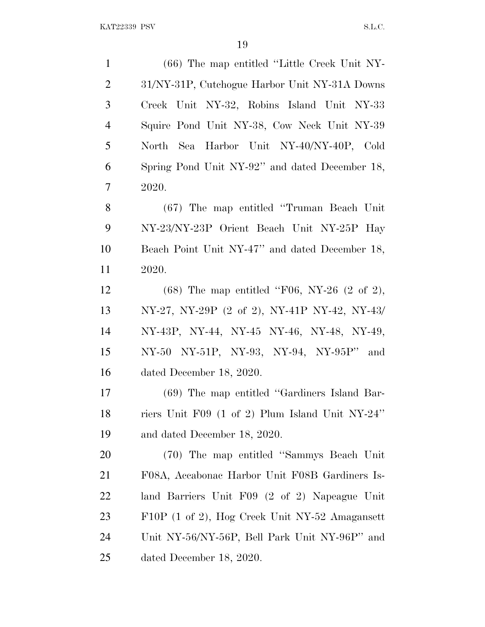| $\mathbf{1}$   | (66) The map entitled "Little Creek Unit NY-              |
|----------------|-----------------------------------------------------------|
| $\overline{2}$ | 31/NY-31P, Cutchogue Harbor Unit NY-31A Downs             |
| 3              | Creek Unit NY-32, Robins Island Unit NY-33                |
| $\overline{4}$ | Squire Pond Unit NY-38, Cow Neck Unit NY-39               |
| 5              | North Sea Harbor Unit NY-40/NY-40P, Cold                  |
| 6              | Spring Pond Unit NY-92" and dated December 18,            |
| $\tau$         | 2020.                                                     |
| 8              | (67) The map entitled "Truman Beach Unit"                 |
| 9              | NY-23/NY-23P Orient Beach Unit NY-25P Hay                 |
| 10             | Beach Point Unit NY-47" and dated December 18,            |
| 11             | 2020.                                                     |
| 12             | $(68)$ The map entitled "F06, NY-26 $(2 \text{ of } 2)$ , |
| 13             | NY-27, NY-29P (2 of 2), NY-41P NY-42, NY-43/              |
| 14             | NY-43P, NY-44, NY-45 NY-46, NY-48, NY-49,                 |
| 15             | NY-50 NY-51P, NY-93, NY-94, NY-95P" and                   |
| 16             | dated December 18, 2020.                                  |
| 17             | (69) The map entitled "Gardiners Island Bar-              |
| 18             | riers Unit F09 (1 of 2) Plum Island Unit NY-24"           |
| 19             | and dated December 18, 2020.                              |
| 20             | (70) The map entitled "Sammys Beach Unit"                 |
| 21             | F08A, Accabonac Harbor Unit F08B Gardiners Is-            |
| 22             | land Barriers Unit F09 (2 of 2) Napeague Unit             |
| 23             | F10P (1 of 2), Hog Creek Unit NY-52 Amagansett            |
| 24             | Unit NY-56/NY-56P, Bell Park Unit NY-96P" and             |
| 25             | dated December 18, 2020.                                  |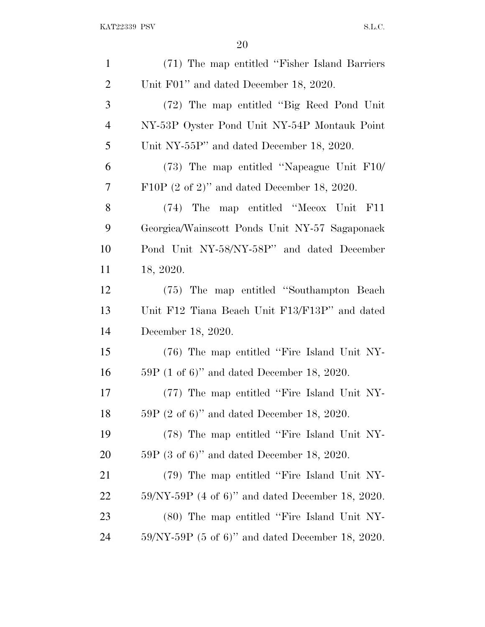| $\mathbf{1}$   | (71) The map entitled "Fisher Island Barriers"          |
|----------------|---------------------------------------------------------|
| $\overline{2}$ | Unit F01" and dated December 18, 2020.                  |
| 3              | (72) The map entitled "Big Reed Pond Unit"              |
| $\overline{4}$ | NY-53P Oyster Pond Unit NY-54P Montauk Point            |
| 5              | Unit NY-55P" and dated December 18, 2020.               |
| 6              | $(73)$ The map entitled "Napeague Unit F10/             |
| 7              | F10P $(2 \text{ of } 2)$ " and dated December 18, 2020. |
| $8\,$          | (74) The map entitled "Mecox Unit F11                   |
| 9              | Georgica/Wainscott Ponds Unit NY-57 Sagaponack          |
| 10             | Pond Unit NY-58/NY-58P" and dated December              |
| 11             | 18, 2020.                                               |
| 12             | (75) The map entitled "Southampton Beach"               |
| 13             | Unit F12 Tiana Beach Unit F13/F13P" and dated           |
| 14             | December 18, 2020.                                      |
| 15             | (76) The map entitled "Fire Island Unit NY-             |
| 16             | $59P$ (1 of 6)" and dated December 18, 2020.            |
| 17             | (77) The map entitled "Fire Island Unit NY-             |
| 18             | $59P$ (2 of 6)" and dated December 18, 2020.            |
| 19             | (78) The map entitled "Fire Island Unit NY-             |
| <b>20</b>      | $59P$ (3 of 6)" and dated December 18, 2020.            |
| 21             | (79) The map entitled "Fire Island Unit NY-             |
| <u>22</u>      | $59/NY-59P$ (4 of 6)" and dated December 18, 2020.      |
| 23             | (80) The map entitled "Fire Island Unit NY-             |
| 24             | $59/NY-59P$ (5 of 6)" and dated December 18, 2020.      |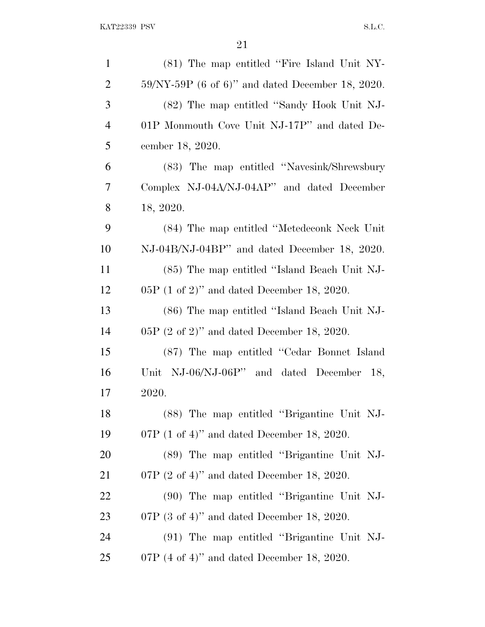| $\mathbf{1}$   | (81) The map entitled "Fire Island Unit NY-            |
|----------------|--------------------------------------------------------|
| $\overline{2}$ | $59/NY-59P$ (6 of 6)" and dated December 18, 2020.     |
| 3              | (82) The map entitled "Sandy Hook Unit NJ-             |
| $\overline{4}$ | 01P Monmouth Cove Unit NJ-17P" and dated De-           |
| 5              | cember 18, 2020.                                       |
| 6              | (83) The map entitled "Navesink/Shrewsbury             |
| 7              | Complex NJ-04A/NJ-04AP" and dated December             |
| 8              | 18, 2020.                                              |
| 9              | (84) The map entitled "Metedeconk Neck Unit"           |
| 10             | NJ-04B/NJ-04BP" and dated December 18, 2020.           |
| 11             | (85) The map entitled "Island Beach Unit NJ-           |
| 12             | $05P$ (1 of 2)" and dated December 18, 2020.           |
| 13             | (86) The map entitled "Island Beach Unit NJ-           |
| 14             | $05P$ (2 of 2)" and dated December 18, 2020.           |
| 15             | (87) The map entitled "Cedar Bonnet Island             |
| 16             | Unit NJ-06/NJ-06P" and dated December 18,              |
| 17             | 2020.                                                  |
| 18             | (88) The map entitled "Brigantine Unit NJ-             |
| 19             | 07P $(1 \text{ of } 4)$ " and dated December 18, 2020. |
| 20             | (89) The map entitled "Brigantine Unit NJ-             |
| 21             | 07P $(2 \text{ of } 4)$ " and dated December 18, 2020. |
| 22             | (90) The map entitled "Brigantine Unit NJ-             |
| 23             | 07P $(3 \text{ of } 4)$ " and dated December 18, 2020. |
| 24             | (91) The map entitled "Brigantine Unit NJ-             |
| 25             | 07P $(4 \text{ of } 4)$ " and dated December 18, 2020. |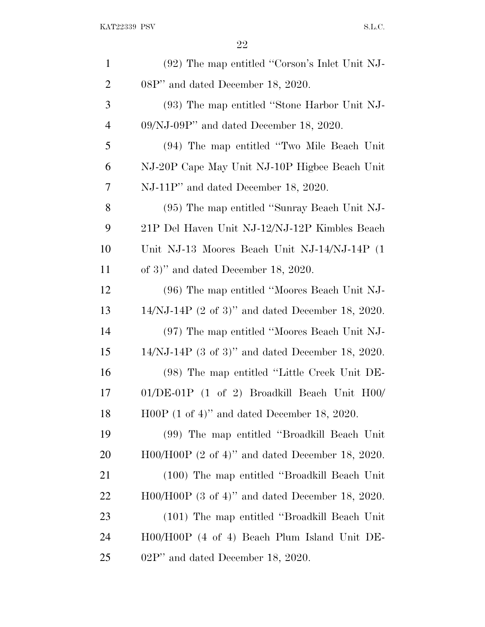| $\mathbf{1}$   | (92) The map entitled "Corson's Inlet Unit NJ-              |
|----------------|-------------------------------------------------------------|
| $\overline{c}$ | 08P" and dated December 18, 2020.                           |
| 3              | (93) The map entitled "Stone Harbor Unit NJ-                |
| $\overline{4}$ | $09/NJ-09P'$ and dated December 18, 2020.                   |
| 5              | (94) The map entitled "Two Mile Beach Unit"                 |
| 6              | NJ-20P Cape May Unit NJ-10P Highee Beach Unit               |
| 7              | NJ-11P" and dated December 18, 2020.                        |
| 8              | (95) The map entitled "Sunray Beach Unit NJ-                |
| 9              | 21P Del Haven Unit NJ-12/NJ-12P Kimbles Beach               |
| 10             | Unit NJ-13 Moores Beach Unit NJ-14/NJ-14P (1)               |
| 11             | of 3)" and dated December 18, 2020.                         |
| 12             | (96) The map entitled "Moores Beach Unit NJ-                |
| 13             | $14/NJ-14P$ (2 of 3)" and dated December 18, 2020.          |
| 14             | (97) The map entitled "Moores Beach Unit NJ-                |
| 15             | $14/NJ-14P$ (3 of 3)" and dated December 18, 2020.          |
| 16             | (98) The map entitled "Little Creek Unit DE-                |
| 17             | $01/DE-01P$ (1 of 2) Broadkill Beach Unit H00/              |
| 18             | $H00P$ (1 of 4)" and dated December 18, 2020.               |
| 19             | (99) The map entitled "Broadkill Beach Unit"                |
| <b>20</b>      | H00/H00P $(2 \text{ of } 4)$ " and dated December 18, 2020. |
| 21             | (100) The map entitled "Broadkill Beach Unit"               |
| 22             | $H00/H00P$ (3 of 4)" and dated December 18, 2020.           |
| 23             | (101) The map entitled "Broadkill Beach Unit"               |
| 24             | H00/H00P (4 of 4) Beach Plum Island Unit DE-                |
| 25             | $02P''$ and dated December 18, 2020.                        |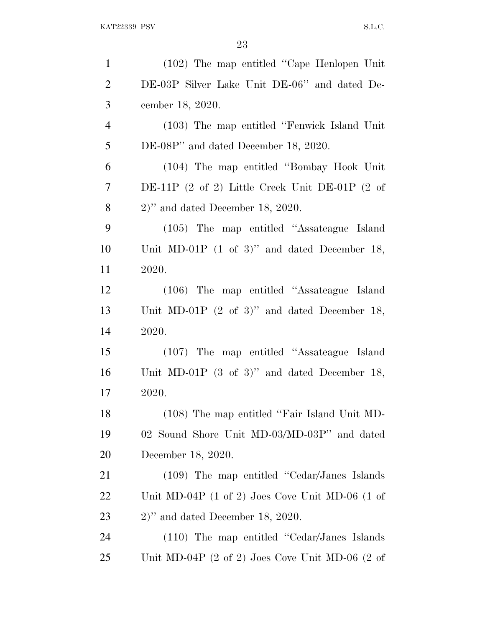| $\mathbf{1}$             | (102) The map entitled "Cape Henlopen Unit"                              |
|--------------------------|--------------------------------------------------------------------------|
| $\overline{2}$           | DE-03P Silver Lake Unit DE-06" and dated De-                             |
| 3                        | cember 18, 2020.                                                         |
| $\overline{4}$           | (103) The map entitled "Fenwick Island Unit"                             |
| 5                        | DE-08P" and dated December 18, 2020.                                     |
| 6                        | (104) The map entitled "Bombay Hook Unit"                                |
| $\overline{\mathcal{L}}$ | DE-11P $(2 \text{ of } 2)$ Little Creek Unit DE-01P $(2 \text{ of } 2)$  |
| 8                        | $2)$ " and dated December 18, 2020.                                      |
| 9                        | (105) The map entitled "Assateague Island"                               |
| 10                       | Unit MD-01P $(1 \text{ of } 3)$ " and dated December 18,                 |
| 11                       | 2020.                                                                    |
| 12                       | (106) The map entitled "Assateague Island                                |
| 13                       | Unit MD-01P $(2 \text{ of } 3)$ " and dated December 18,                 |
| 14                       | 2020.                                                                    |
| 15                       | (107) The map entitled "Assateague Island"                               |
| 16                       | Unit MD-01P $(3 \text{ of } 3)$ " and dated December 18,                 |
| 17                       | 2020.                                                                    |
| 18                       | (108) The map entitled "Fair Island Unit MD-                             |
| 19                       | 02 Sound Shore Unit MD-03/MD-03P" and dated                              |
| 20                       | December 18, 2020.                                                       |
| 21                       | $(109)$ The map entitled "Cedar/Janes Islands"                           |
| 22                       | Unit MD-04P $(1 \text{ of } 2)$ Joes Cove Unit MD-06 $(1 \text{ of } 2)$ |
| 23                       | $2)$ " and dated December 18, 2020.                                      |
| 24                       | $(110)$ The map entitled "Cedar/Janes Islands"                           |
| 25                       | Unit MD-04P $(2 \text{ of } 2)$ Joes Cove Unit MD-06 $(2 \text{ of } 2)$ |
|                          |                                                                          |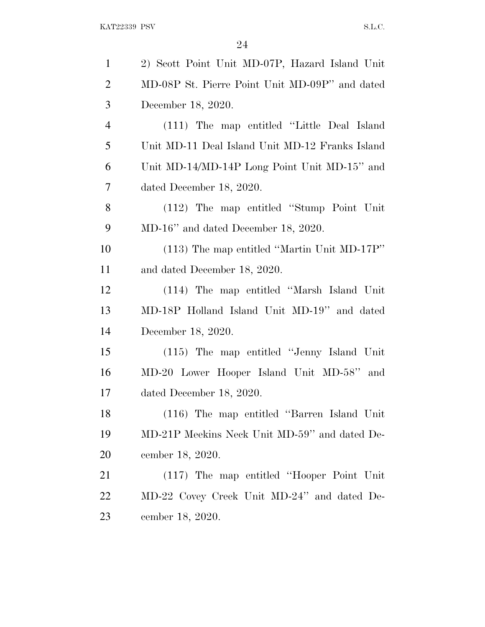| $\mathbf{1}$   | 2) Scott Point Unit MD-07P, Hazard Island Unit  |
|----------------|-------------------------------------------------|
| $\overline{2}$ | MD-08P St. Pierre Point Unit MD-09P" and dated  |
| 3              | December 18, 2020.                              |
| $\overline{4}$ | (111) The map entitled "Little Deal Island      |
| 5              | Unit MD-11 Deal Island Unit MD-12 Franks Island |
| 6              | Unit MD-14/MD-14P Long Point Unit MD-15" and    |
| $\tau$         | dated December 18, 2020.                        |
| 8              | (112) The map entitled "Stump Point Unit"       |
| 9              | $MD-16$ " and dated December 18, 2020.          |
| 10             | $(113)$ The map entitled "Martin Unit MD-17P"   |
| 11             | and dated December 18, 2020.                    |
| 12             | (114) The map entitled "Marsh Island Unit"      |
| 13             | MD-18P Holland Island Unit MD-19" and dated     |
| 14             | December 18, 2020.                              |
| 15             | (115) The map entitled "Jenny Island Unit"      |
| 16             | MD-20 Lower Hooper Island Unit MD-58" and       |
| 17             | dated December 18, 2020.                        |
| 18             | (116) The map entitled "Barren Island Unit"     |
| 19             | MD-21P Meekins Neck Unit MD-59" and dated De-   |
| 20             | cember 18, 2020.                                |
| 21             | (117) The map entitled "Hooper Point Unit"      |
| 22             | MD-22 Covey Creek Unit MD-24" and dated De-     |
| 23             | cember 18, 2020.                                |
|                |                                                 |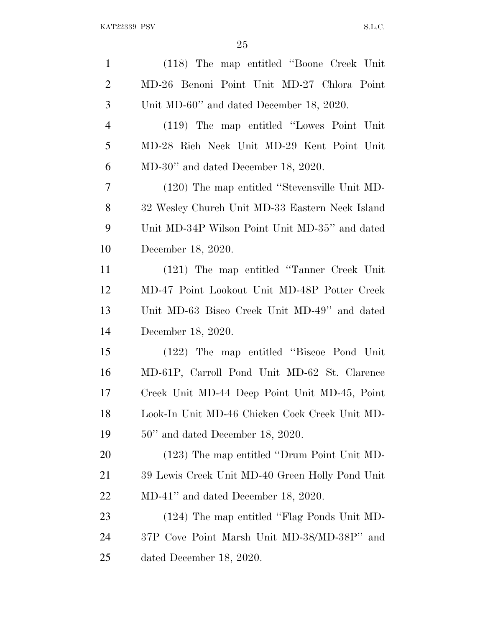| $\mathbf{1}$   | (118) The map entitled "Boone Creek Unit"       |
|----------------|-------------------------------------------------|
| $\overline{2}$ | MD-26 Benoni Point Unit MD-27 Chlora Point      |
| 3              | Unit MD-60" and dated December 18, 2020.        |
| $\overline{4}$ | (119) The map entitled "Lowes Point Unit"       |
| 5              | MD-28 Rich Neck Unit MD-29 Kent Point Unit      |
| 6              | $MD-30$ " and dated December 18, 2020.          |
| 7              | (120) The map entitled "Stevensville Unit MD-   |
| 8              | 32 Wesley Church Unit MD-33 Eastern Neck Island |
| 9              | Unit MD-34P Wilson Point Unit MD-35" and dated  |
| 10             | December 18, 2020.                              |
| 11             | (121) The map entitled "Tanner Creek Unit"      |
| 12             | MD-47 Point Lookout Unit MD-48P Potter Creek    |
| 13             | Unit MD-63 Bisco Creek Unit MD-49" and dated    |
| 14             | December 18, 2020.                              |
| 15             | (122) The map entitled "Biscoe Pond Unit"       |
| 16             | MD-61P, Carroll Pond Unit MD-62 St. Clarence    |
| 17             | Creek Unit MD-44 Deep Point Unit MD-45, Point   |
| 18             | Look-In Unit MD-46 Chicken Cock Creek Unit MD-  |
| 19             | $50"$ and dated December 18, 2020.              |
| 20             | (123) The map entitled "Drum Point Unit MD-     |
| 21             | 39 Lewis Creek Unit MD-40 Green Holly Pond Unit |
| 22             | $MD-41$ " and dated December 18, 2020.          |
| 23             | (124) The map entitled "Flag Ponds Unit MD-     |
| 24             | 37P Cove Point Marsh Unit MD-38/MD-38P" and     |
| 25             | dated December 18, 2020.                        |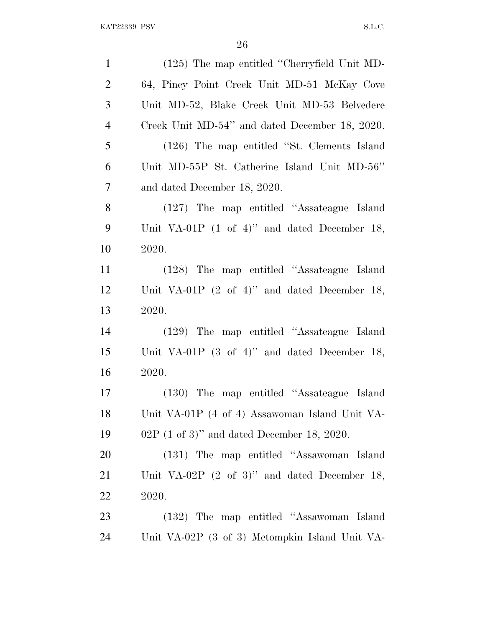| $\mathbf{1}$   | (125) The map entitled "Cherryfield Unit MD-             |
|----------------|----------------------------------------------------------|
| $\overline{2}$ | 64, Piney Point Creek Unit MD-51 McKay Cove              |
| 3              | Unit MD-52, Blake Creek Unit MD-53 Belvedere             |
| $\overline{4}$ | Creek Unit MD-54" and dated December 18, 2020.           |
| 5              | (126) The map entitled "St. Clements Island              |
| 6              | Unit MD-55P St. Catherine Island Unit MD-56"             |
| 7              | and dated December 18, 2020.                             |
| 8              | (127) The map entitled "Assateague Island"               |
| 9              | Unit VA-01P $(1 \text{ of } 4)$ " and dated December 18, |
| 10             | 2020.                                                    |
| 11             | (128) The map entitled "Assateague Island"               |
| 12             | Unit VA-01P $(2 \text{ of } 4)$ " and dated December 18, |
| 13             | 2020.                                                    |
| 14             | (129) The map entitled "Assateague Island                |
| 15             | Unit VA-01P $(3 \text{ of } 4)$ " and dated December 18, |
| 16             | 2020.                                                    |
| 17             | (130) The map entitled "Assateague Island"               |
| 18             | Unit VA-01P (4 of 4) Assawoman Island Unit VA-           |
| 19             | 02P $(1 \text{ of } 3)$ " and dated December 18, 2020.   |
| 20             | (131) The map entitled "Assawoman Island"                |
| 21             | Unit VA-02P $(2 \text{ of } 3)$ " and dated December 18, |
| 22             | 2020.                                                    |
| 23             | (132) The map entitled "Assawoman Island                 |
| 24             | Unit VA-02P (3 of 3) Metompkin Island Unit VA-           |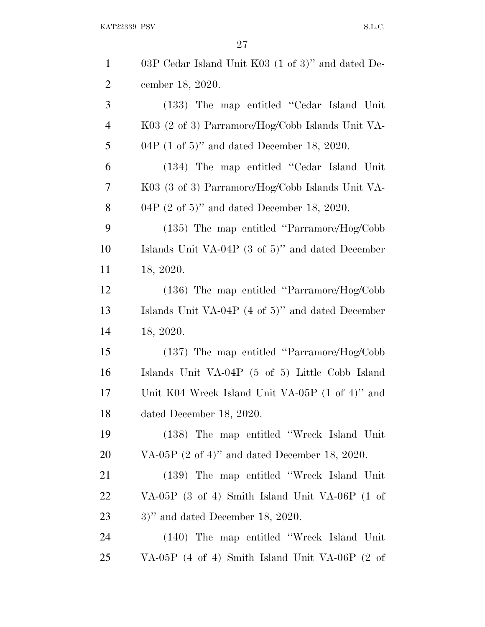KAT22339 PSV S.L.C.

| $\mathbf{1}$   | 03P Cedar Island Unit K03 (1 of 3)" and dated De-            |
|----------------|--------------------------------------------------------------|
| $\overline{2}$ | cember 18, 2020.                                             |
| 3              | (133) The map entitled "Cedar Island Unit"                   |
| $\overline{4}$ | K03 (2 of 3) Parramore/Hog/Cobb Islands Unit VA-             |
| 5              | 04P $(1 \text{ of } 5)$ " and dated December 18, 2020.       |
| 6              | (134) The map entitled "Cedar Island Unit"                   |
| 7              | K03 (3 of 3) Parramore/Hog/Cobb Islands Unit VA-             |
| 8              | 04P $(2 \text{ of } 5)$ " and dated December 18, 2020.       |
| 9              | $(135)$ The map entitled "Parramore/Hog/Cobb"                |
| 10             | Islands Unit VA-04P $(3 \text{ of } 5)$ " and dated December |
| 11             | 18, 2020.                                                    |
| 12             | $(136)$ The map entitled "Parramore/Hog/Cobb"                |
| 13             | Islands Unit VA-04P $(4 \text{ of } 5)$ " and dated December |
| 14             | 18, 2020.                                                    |
| 15             | $(137)$ The map entitled "Parramore/Hog/Cobb"                |
| 16             | Islands Unit VA-04P (5 of 5) Little Cobb Island              |
| 17             | Unit K04 Wreck Island Unit VA-05P (1 of 4)" and              |
| 18             | dated December 18, 2020.                                     |
| 19             | (138) The map entitled "Wreck Island Unit"                   |
| 20             | VA-05P $(2 \text{ of } 4)$ " and dated December 18, 2020.    |
| 21             | (139) The map entitled "Wreck Island Unit"                   |
| 22             | VA-05P (3 of 4) Smith Island Unit VA-06P (1 of               |
| 23             | $3)$ " and dated December 18, 2020.                          |
| 24             | (140) The map entitled "Wreck Island Unit"                   |
| 25             | VA-05P (4 of 4) Smith Island Unit VA-06P (2 of               |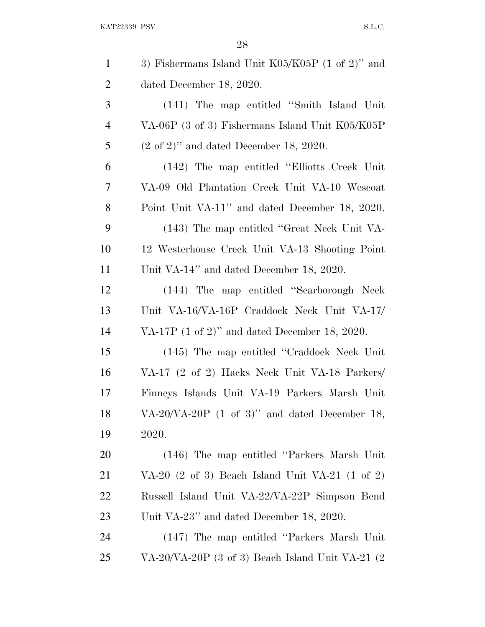KAT22339 PSV S.L.C.

| $\mathbf{1}$   | 3) Fishermans Island Unit $K05/K05P$ (1 of 2)" and                    |
|----------------|-----------------------------------------------------------------------|
| $\overline{2}$ | dated December 18, 2020.                                              |
| 3              | (141) The map entitled "Smith Island Unit"                            |
| $\overline{4}$ | VA-06P (3 of 3) Fishermans Island Unit K05/K05P                       |
| 5              | $(2 \text{ of } 2)$ " and dated December 18, 2020.                    |
| 6              | (142) The map entitled "Elliotts Creek Unit"                          |
| 7              | VA-09 Old Plantation Creek Unit VA-10 Wescoat                         |
| 8              | Point Unit VA-11" and dated December 18, 2020.                        |
| 9              | (143) The map entitled "Great Neck Unit VA-                           |
| 10             | 12 Westerhouse Creek Unit VA-13 Shooting Point                        |
| <sup>11</sup>  | Unit VA-14" and dated December 18, 2020.                              |
| 12             | (144) The map entitled "Scarborough Neck                              |
| 13             | Unit VA-16/VA-16P Craddock Neck Unit VA-17/                           |
| 14             | VA-17P $(1 \text{ of } 2)$ " and dated December 18, 2020.             |
| 15             | (145) The map entitled "Craddock Neck Unit"                           |
| 16             | VA-17 (2 of 2) Hacks Neck Unit VA-18 Parkers/                         |
| 17             | Finneys Islands Unit VA-19 Parkers Marsh Unit                         |
| 18             | VA-20/VA-20P $(1 \text{ of } 3)$ " and dated December 18,             |
| 19             | 2020.                                                                 |
| 20             | (146) The map entitled "Parkers Marsh Unit"                           |
| 21             | VA-20 $(2 \text{ of } 3)$ Beach Island Unit VA-21 $(1 \text{ of } 2)$ |
| 22             | Russell Island Unit VA-22/VA-22P Simpson Bend                         |
| 23             | Unit VA-23" and dated December 18, 2020.                              |
| 24             | (147) The map entitled "Parkers Marsh Unit"                           |
| 25             | VA-20/VA-20P (3 of 3) Beach Island Unit VA-21 (2                      |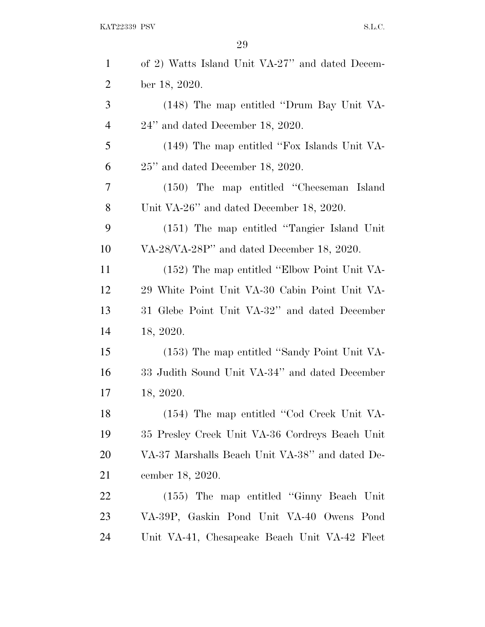| $\mathbf{1}$   | of 2) Watts Island Unit VA-27" and dated Decem- |
|----------------|-------------------------------------------------|
| $\overline{2}$ | ber 18, 2020.                                   |
| 3              | (148) The map entitled "Drum Bay Unit VA-       |
| $\overline{4}$ | $24$ " and dated December 18, 2020.             |
| 5              | (149) The map entitled "Fox Islands Unit VA-    |
| 6              | $25$ " and dated December 18, 2020.             |
| 7              | (150) The map entitled "Cheeseman Island        |
| 8              | Unit VA-26" and dated December 18, 2020.        |
| 9              | (151) The map entitled "Tangier Island Unit"    |
| 10             | VA-28/VA-28P" and dated December 18, 2020.      |
| 11             | (152) The map entitled "Elbow Point Unit VA-    |
| 12             | 29 White Point Unit VA-30 Cabin Point Unit VA-  |
| 13             | 31 Glebe Point Unit VA-32" and dated December   |
| 14             | 18, 2020.                                       |
| 15             | (153) The map entitled "Sandy Point Unit VA-    |
| 16             | 33 Judith Sound Unit VA-34" and dated December  |
| 17             | 18, 2020.                                       |
| 18             | (154) The map entitled "Cod Creek Unit VA-      |
| 19             | 35 Presley Creek Unit VA-36 Cordreys Beach Unit |
| 20             | VA-37 Marshalls Beach Unit VA-38" and dated De- |
| 21             | cember 18, 2020.                                |
| 22             | (155) The map entitled "Ginny Beach Unit"       |
| 23             | VA-39P, Gaskin Pond Unit VA-40 Owens Pond       |
| 24             | Unit VA-41, Chesapeake Beach Unit VA-42 Fleet   |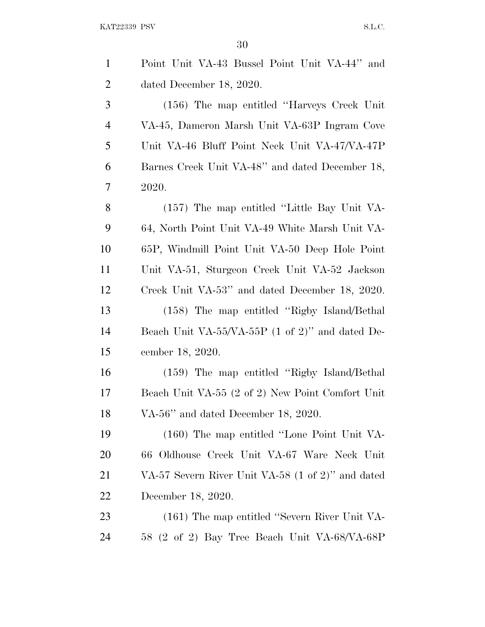$\text{KAT}22339 \text{ PSV} \qquad \qquad \text{S.L.C.}$ 

| $\mathbf{1}$   | Point Unit VA-43 Bussel Point Unit VA-44" and               |
|----------------|-------------------------------------------------------------|
| $\overline{2}$ | dated December 18, 2020.                                    |
| 3              | (156) The map entitled "Harveys Creek Unit"                 |
| $\overline{4}$ | VA-45, Dameron Marsh Unit VA-63P Ingram Cove                |
| 5              | Unit VA-46 Bluff Point Neck Unit VA-47/VA-47P               |
| 6              | Barnes Creek Unit VA-48" and dated December 18,             |
| 7              | 2020.                                                       |
| 8              | (157) The map entitled "Little Bay Unit VA-                 |
| 9              | 64, North Point Unit VA-49 White Marsh Unit VA-             |
| 10             | 65P, Windmill Point Unit VA-50 Deep Hole Point              |
| 11             | Unit VA-51, Sturgeon Creek Unit VA-52 Jackson               |
| 12             | Creek Unit VA-53" and dated December 18, 2020.              |
| 13             | (158) The map entitled "Rigby Island/Bethal"                |
| 14             | Beach Unit VA-55/VA-55P $(1 \text{ of } 2)$ " and dated De- |
| 15             | cember 18, 2020.                                            |
| 16             | (159) The map entitled "Rigby Island/Bethal"                |
| 17             | Beach Unit VA-55 (2 of 2) New Point Comfort Unit            |
| 18             | VA-56" and dated December 18, 2020.                         |
| 19             | (160) The map entitled "Lone Point Unit VA-                 |
| 20             | 66 Oldhouse Creek Unit VA-67 Ware Neck Unit                 |
| 21             | VA-57 Severn River Unit VA-58 (1 of 2)" and dated           |
| 22             | December 18, 2020.                                          |
| 23             | (161) The map entitled "Severn River Unit VA-               |
| 24             | 58 (2 of 2) Bay Tree Beach Unit VA-68/VA-68P                |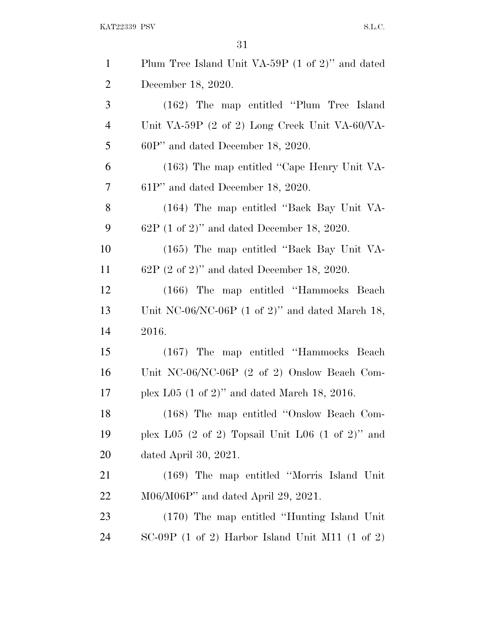$\begin{minipage}{0.9\linewidth} \textbf{KAT} 22339 \textbf{ PSV} \end{minipage}$ 

| $\mathbf{1}$   | Plum Tree Island Unit VA-59P (1 of 2)" and dated                        |
|----------------|-------------------------------------------------------------------------|
| $\overline{2}$ | December 18, 2020.                                                      |
| 3              | (162) The map entitled "Plum Tree Island"                               |
| $\overline{4}$ | Unit VA-59P $(2 \text{ of } 2)$ Long Creek Unit VA-60/VA-               |
| 5              | $60P'$ and dated December 18, 2020.                                     |
| 6              | (163) The map entitled "Cape Henry Unit VA-                             |
| 7              | $61P'$ and dated December 18, 2020.                                     |
| 8              | (164) The map entitled "Back Bay Unit VA-                               |
| 9              | $62P$ (1 of 2)" and dated December 18, 2020.                            |
| 10             | (165) The map entitled "Back Bay Unit VA-                               |
| 11             | $62P$ (2 of 2)" and dated December 18, 2020.                            |
| 12             | (166) The map entitled "Hammocks Beach"                                 |
| 13             | Unit NC-06/NC-06P $(1 \text{ of } 2)$ " and dated March 18,             |
| 14             | 2016.                                                                   |
| 15             | (167) The map entitled "Hammocks Beach"                                 |
| 16             | Unit NC-06/NC-06P (2 of 2) Onslow Beach Com-                            |
| 17             | plex L05 $(1 \text{ of } 2)$ " and dated March 18, 2016.                |
| 18             | (168) The map entitled "Onslow Beach Com-                               |
| 19             | plex L05 $(2 \text{ of } 2)$ Topsail Unit L06 $(1 \text{ of } 2)$ " and |
| 20             | dated April 30, $2021$ .                                                |
| 21             | (169) The map entitled "Morris Island Unit"                             |
| 22             | $M06/M06P''$ and dated April 29, 2021.                                  |
| 23             | (170) The map entitled "Hunting Island Unit"                            |
| 24             | $SC-09P$ (1 of 2) Harbor Island Unit M11 (1 of 2)                       |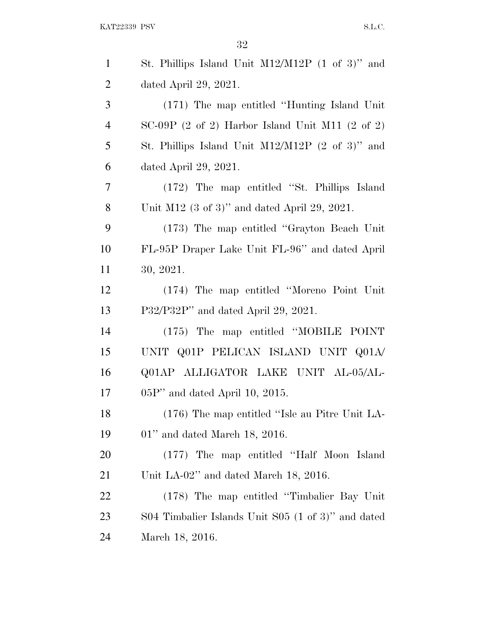| $\mathbf{1}$   | St. Phillips Island Unit $M12/M12P$ (1 of 3)" and        |
|----------------|----------------------------------------------------------|
| $\overline{2}$ | dated April 29, 2021.                                    |
| 3              | (171) The map entitled "Hunting Island Unit"             |
| $\overline{4}$ | $SC-09P$ (2 of 2) Harbor Island Unit M11 (2 of 2)        |
| 5              | St. Phillips Island Unit $M12/M12P$ (2 of 3)" and        |
| 6              | dated April 29, 2021.                                    |
| $\tau$         | (172) The map entitled "St. Phillips Island              |
| 8              | Unit M12 $(3 \text{ of } 3)$ " and dated April 29, 2021. |
| 9              | (173) The map entitled "Grayton Beach Unit"              |
| 10             | FL-95P Draper Lake Unit FL-96" and dated April           |
| 11             | 30, 2021.                                                |
| 12             | (174) The map entitled "Moreno Point Unit"               |
| 13             | P32/P32P" and dated April 29, 2021.                      |
| 14             | (175) The map entitled "MOBILE POINT                     |
| 15             | UNIT Q01P PELICAN ISLAND UNIT Q01A/                      |
| 16             | Q01AP ALLIGATOR LAKE UNIT AL-05/AL-                      |
| 17             | $05P'$ and dated April 10, 2015.                         |
| 18             | $(176)$ The map entitled "Isle au Pitre Unit LA-         |
| 19             | $01$ " and dated March 18, 2016.                         |
| <b>20</b>      | (177) The map entitled "Half Moon Island                 |
| 21             | Unit LA-02" and dated March 18, 2016.                    |
| 22             | (178) The map entitled "Timbalier Bay Unit"              |
| 23             | S04 Timbalier Islands Unit S05 (1 of 3)" and dated       |
| 24             | March 18, 2016.                                          |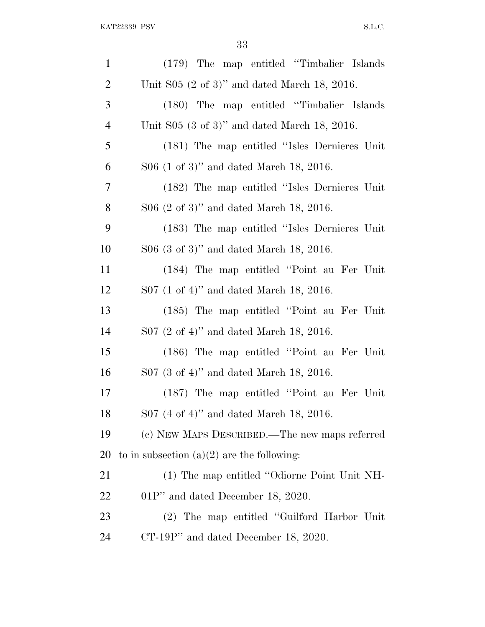| $\mathbf{1}$   | (179) The map entitled "Timbalier Islands"     |
|----------------|------------------------------------------------|
| $\overline{2}$ | Unit $S05$ (2 of 3)" and dated March 18, 2016. |
| 3              | (180) The map entitled "Timbalier Islands"     |
| $\overline{4}$ | Unit $S05$ (3 of 3)" and dated March 18, 2016. |
| 5              | (181) The map entitled "Isles Dernieres Unit   |
| 6              | $S06$ (1 of 3)" and dated March 18, 2016.      |
| 7              | (182) The map entitled "Isles Dernieres Unit   |
| 8              | $S06$ (2 of 3)" and dated March 18, 2016.      |
| 9              | (183) The map entitled "Isles Dernieres Unit   |
| 10             | $S06$ (3 of 3)" and dated March 18, 2016.      |
| 11             | (184) The map entitled "Point au Fer Unit"     |
| 12             | $S07$ (1 of 4)" and dated March 18, 2016.      |
| 13             | (185) The map entitled "Point au Fer Unit"     |
| 14             | $S07$ (2 of 4)" and dated March 18, 2016.      |
| 15             | (186) The map entitled "Point au Fer Unit"     |
| 16             | $S07$ (3 of 4)" and dated March 18, 2016.      |
| 17             | (187) The map entitled "Point au Fer Unit"     |
| 18             | S07 (4 of 4)" and dated March 18, 2016.        |
| 19             | (c) NEW MAPS DESCRIBED.—The new maps referred  |
| 20             | to in subsection $(a)(2)$ are the following:   |
| 21             | (1) The map entitled "Odiorne Point Unit NH-   |
| 22             | $01P'$ and dated December 18, 2020.            |
| 23             | (2) The map entitled "Guilford Harbor Unit"    |
| 24             | $CT-19P$ " and dated December 18, 2020.        |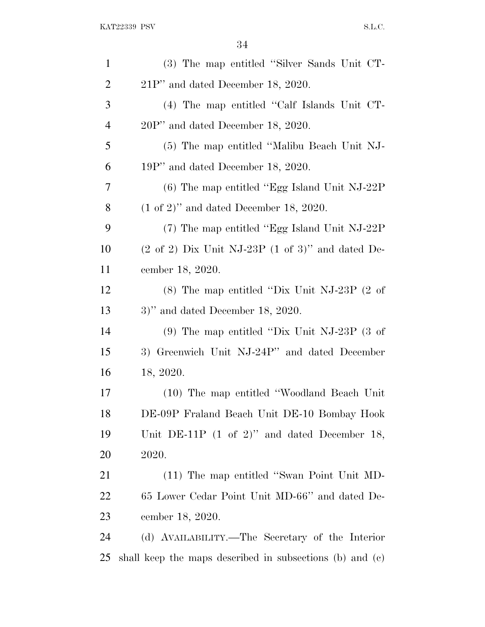| $\mathbf{1}$   | (3) The map entitled "Silver Sands Unit CT-                             |
|----------------|-------------------------------------------------------------------------|
| $\overline{2}$ | $21P''$ and dated December 18, 2020.                                    |
| 3              | (4) The map entitled "Calf Islands Unit CT-                             |
| $\overline{4}$ | $20P'$ and dated December 18, 2020.                                     |
| 5              | (5) The map entitled "Malibu Beach Unit NJ-                             |
| 6              | 19P" and dated December 18, 2020.                                       |
| 7              | $(6)$ The map entitled "Egg Island Unit NJ-22P"                         |
| 8              | $(1 \text{ of } 2)$ " and dated December 18, 2020.                      |
| 9              | $(7)$ The map entitled "Egg Island Unit NJ-22P"                         |
| 10             | $(2 \text{ of } 2)$ Dix Unit NJ-23P $(1 \text{ of } 3)$ " and dated De- |
| 11             | cember 18, 2020.                                                        |
| 12             | $(8)$ The map entitled "Dix Unit NJ-23P $(2 \text{ of } )$              |
| 13             | $3)$ " and dated December 18, 2020.                                     |
| 14             | $(9)$ The map entitled "Dix Unit NJ-23P $(3 \text{ of})$                |
| 15             | 3) Greenwich Unit NJ-24P" and dated December                            |
| 16             | 18, 2020.                                                               |
| 17             | (10) The map entitled "Woodland Beach Unit"                             |
| 18             | DE-09P Fraland Beach Unit DE-10 Bombay Hook                             |
| 19             | Unit DE-11P $(1 \text{ of } 2)$ " and dated December 18,                |
| 20             | 2020.                                                                   |
| 21             | (11) The map entitled "Swan Point Unit MD-                              |
| 22             | 65 Lower Cedar Point Unit MD-66" and dated De-                          |
| 23             | cember 18, 2020.                                                        |
| 24             | (d) AVAILABILITY.—The Secretary of the Interior                         |
| 25             | shall keep the maps described in subsections (b) and (c)                |